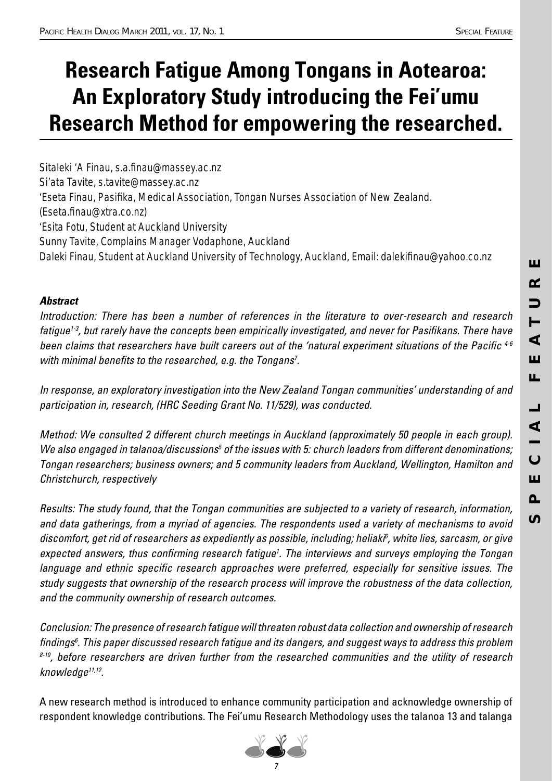## **Research Fatigue Among Tongans in Aotearoa: An Exploratory Study introducing the Fei'umu Research Method for empowering the researched.**

*Sitaleki 'A Finau, s.a.fi nau@massey.ac.nz Si'ata Tavite, s.tavite@massey.ac.nz* 'Eseta Finau, Pasifika, Medical Association, Tongan Nurses Association of New Zealand. *(Eseta.fi nau@xtra.co.nz) 'Esita Fotu, Student at Auckland University Sunny Tavite, Complains Manager Vodaphone, Auckland* Daleki Finau, Student at Auckland University of Technology, Auckland, Email: dalekifinau@yahoo.co.nz

### *Abstract*

Introduction: There has been a number of references in the literature to over-research and research fatique<sup>1-3</sup>, but rarely have the concepts been empirically investigated, and never for Pasifikans. There have been claims that researchers have built careers out of the 'natural experiment situations of the Pacific<sup>4-6</sup> with minimal benefits to the researched, e.g. the Tongans<sup>7</sup>.

In response, an exploratory investigation into the New Zealand Tongan communities' understanding of and participation in, research, (HRC Seeding Grant No. 11/529), was conducted.

Method: We consulted 2 different church meetings in Auckland (approximately 50 people in each group). We also engaged in talanoa/discussions<sup>5</sup> of the issues with 5: church leaders from different denominations; Tongan researchers; business owners; and 5 community leaders from Auckland, Wellington, Hamilton and Christchurch, respectively

Results: The study found, that the Tongan communities are subjected to a variety of research, information, and data gatherings, from a myriad of agencies. The respondents used a variety of mechanisms to avoid discomfort, get rid of researchers as expediently as possible, including; heliaki<sup>6</sup>, white lies, sarcasm, or give expected answers, thus confirming research fatigue<sup>1</sup>. The interviews and surveys employing the Tongan language and ethnic specific research approaches were preferred, especially for sensitive issues. The study suggests that ownership of the research process will improve the robustness of the data collection, and the community ownership of research outcomes.

Conclusion: The presence of research fatigue will threaten robust data collection and ownership of research findings<sup>6</sup>. This paper discussed research fatigue and its dangers, and suggest ways to address this problem  $8-10$ , before researchers are driven further from the researched communities and the utility of research knowledge<sup>11,12</sup>.

A new research method is introduced to enhance community participation and acknowledge ownership of respondent knowledge contributions. The Fei'umu Research Methodology uses the talanoa 13 and talanga

Ш

 $\alpha$ 

 $\mathbf{\mathsf{D}}$ 

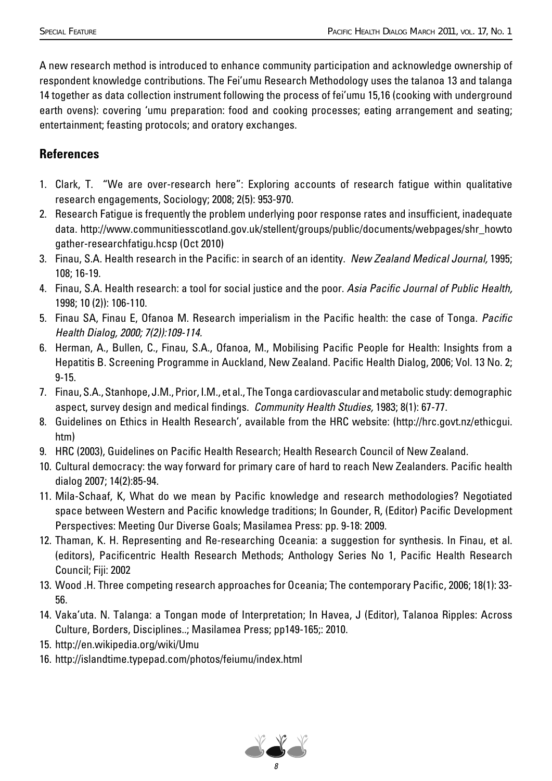A new research method is introduced to enhance community participation and acknowledge ownership of respondent knowledge contributions. The Fei'umu Research Methodology uses the talanoa 13 and talanga 14 together as data collection instrument following the process of fei'umu 15,16 (cooking with underground earth ovens): covering 'umu preparation: food and cooking processes; eating arrangement and seating; entertainment; feasting protocols; and oratory exchanges.

### **References**

- 1. Clark, T. "We are over-research here": Exploring accounts of research fatigue within qualitative research engagements, Sociology; 2008; 2(5): 953-970.
- 2. Research Fatigue is frequently the problem underlying poor response rates and insufficient, inadequate data. http://www.communitiesscotland.gov.uk/stellent/groups/public/documents/webpages/shr\_howto gather-researchfatigu.hcsp (Oct 2010)
- 3. Finau, S.A. Health research in the Pacific: in search of an identity. New Zealand Medical Journal, 1995; 108; 16-19.
- 4. Finau, S.A. Health research: a tool for social justice and the poor. Asia Pacific Journal of Public Health, 1998; 10 (2)): 106-110.
- 5. Finau SA, Finau E, Ofanoa M. Research imperialism in the Pacific health: the case of Tonga. Pacific Health Dialog, 2000; 7(2)):109-114.
- 6. Herman, A., Bullen, C., Finau, S.A., Ofanoa, M., Mobilising Pacific People for Health: Insights from a Hepatitis B. Screening Programme in Auckland, New Zealand. Pacific Health Dialog, 2006; Vol. 13 No. 2; 9-15.
- 7. Finau, S.A., Stanhope, J.M., Prior, I.M., et al., The Tonga cardiovascular and metabolic study: demographic aspect, survey design and medical findings. Community Health Studies, 1983; 8(1): 67-77.
- 8. Guidelines on Ethics in Health Research', available from the HRC website: (http://hrc.govt.nz/ethicgui. htm)
- 9. HRC (2003), Guidelines on Pacific Health Research; Health Research Council of New Zealand.
- 10. Cultural democracy: the way forward for primary care of hard to reach New Zealanders. Pacific health dialog 2007; 14(2):85-94.
- 11. Mila-Schaaf, K, What do we mean by Pacific knowledge and research methodologies? Negotiated space between Western and Pacific knowledge traditions; In Gounder, R, (Editor) Pacific Development Perspectives: Meeting Our Diverse Goals; Masilamea Press: pp. 9-18: 2009.
- 12. Thaman, K. H. Representing and Re-researching Oceania: a suggestion for synthesis. In Finau, et al. (editors), Pacificentric Health Research Methods; Anthology Series No 1, Pacific Health Research Council; Fiji: 2002
- 13. Wood .H. Three competing research approaches for Oceania; The contemporary Pacific, 2006; 18(1): 33-56.
- 14. Vaka'uta. N. Talanga: a Tongan mode of Interpretation; In Havea, J (Editor), Talanoa Ripples: Across Culture, Borders, Disciplines..; Masilamea Press; pp149-165;: 2010.
- 15. http://en.wikipedia.org/wiki/Umu
- 16. http://islandtime.typepad.com/photos/feiumu/index.html

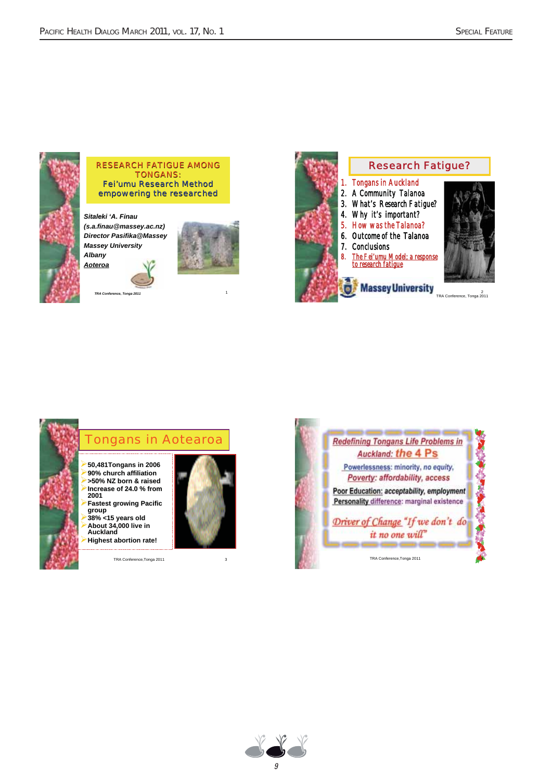

### RESEARCH FATIGUE AMONG TONGANS: Fei'umu Research Method empowering the researched

**TRA Conference, Tonga 2011** 1

*Sitaleki Sitaleki 'A. Finau (s.a.finau@massey.ac.nz) Director Pasifika@Massey Massey University Albany Aoteroa*







### Tongans in Aotearoa

- **50,481Tongans in 2006** -**90% church affiliation** -**>50% NZ born & raised** -**Increase of 24.0 % from**
- **2001** -**Fastest growing Pacific group**
- -**38% <15 years old**  $\blacktriangleright$ **About 34,000 live in Auckland**
- -**Highest abortion rate!**





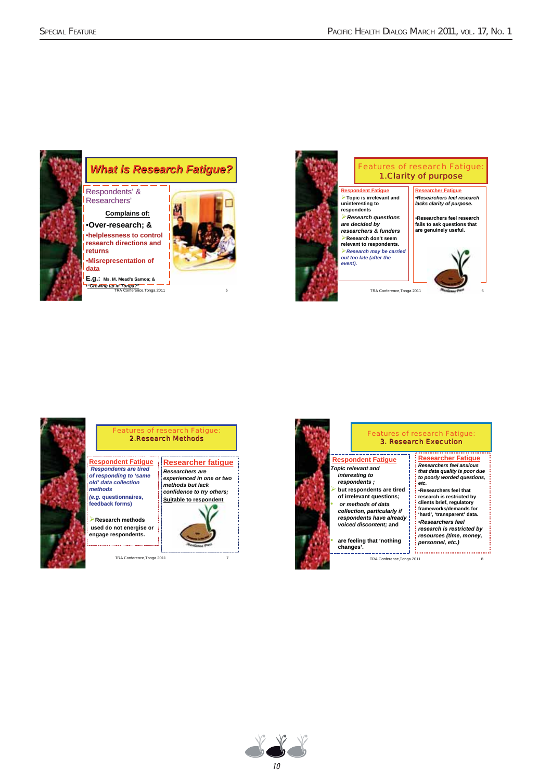

### *What is Research Fatigue?*

Respondents' & Researchers'

**Complains of:** •**Over-research; &** •**helplessness to control helplessness to control research directions and returns** •**Misrepresentation of**

**data E.g.: Ms. M. Mead's Samoa; &** •*"Growing up in Tonga?"* TRA Conference,Tonga 2011 5

*old' data collection methods (e.g.* **questionnaires, feedback forms)** -**Research methods used do not energise or engage respondents.**







### Features of research Fatigue: 2.Research Methods

**Respondent Fatigue Researcher fatigue** *Respondents are tired Researchers are of responding to 'same experienced in one or two methods but lack confidence to try others;* **Suitable to respondent**



TRA Conference,Tonga 2011 7





#### **Respondent Fatigue** *Topic relevant and interesting to*

*respondents ;* **but respondents are tired of irrelevant questions;** • *or methods of data collection, particularly if respondents have already voiced discontent;* **and**

• **are feeling that 'nothing changes'.** للممتمون

TRA Conference,Tonga 2011 8

#### **Researcher Fatigue** *Researchers feel anxious that data quality is poor due to poorly worded questions, etc.*

- •**Researchers feel that research is restricted by clients brief, regulatory frameworks/demands for**
- **'hard', 'transparent' data.** •*Researchers feel research is restricted by*
- *resources (time, money, personnel, etc.)*

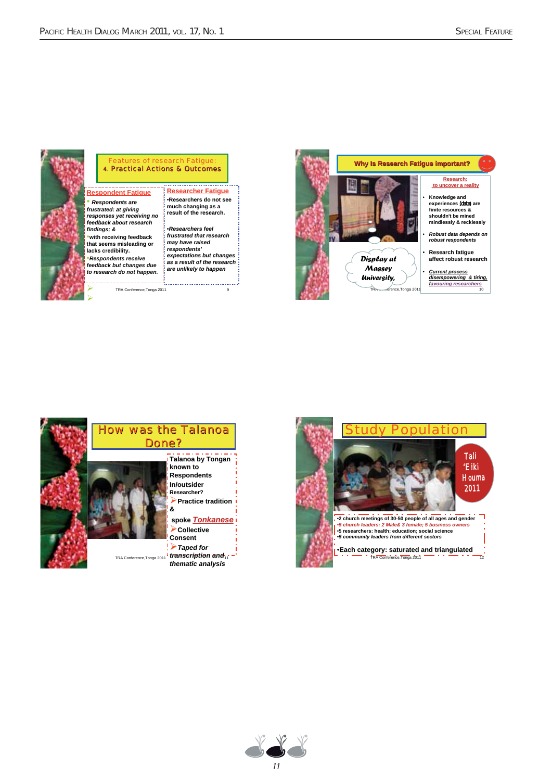

#### Features of research Fatigue: 4. Practical Actions & Outcomes

TRA Conference,Tonga 2011 **Provides** 2014

**Respondent Fatigue** • *Respondents are frustrated: at giving responses yet receiving no feedback about research findings; &* •**with receiving feedback that seems misleading or lacks credibility.** •*Respondents receive feedback but changes due to research do not happen.*

**Researcher Fatigue** •**Researchers do not see much changing as a result of the research.** •*Researchers feel frustrated that research may have raised respondents' expectations but changes as a result of the research are unlikely to happen*







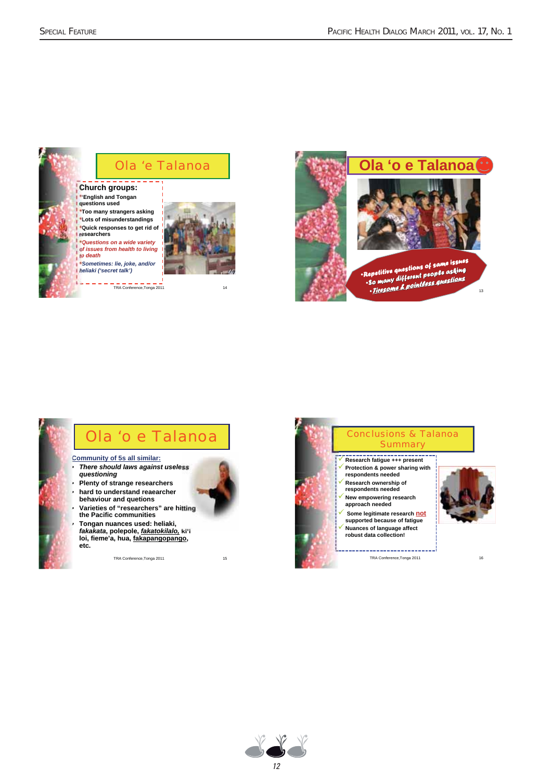

**Church groups:** •**'English and Tongan questions used** •**Too many strangers asking** •**Lots of misunderstandings** •**Quick responses to get rid of researchers** •*Questions on a wide variety*

*of issues from health to living to death* •*Sometimes: lie, joke, and/or*

*heliaki ('secret talk')*



TRA Conference,Tonga 2011 14



## Ola 'o e Talanoa

#### **Community of 5s all similar:** • *There should laws against useless*

- *questioning* • **Plenty of strange researchers**
- **hard to understand reaearcher behaviour and quetions**
- **Varieties of "researchers" are hitting the Pacific communities**
- **Tongan nuances used: heliaki, heliaki,** *fakakata*, polepole, <u>*fakatokilalo,* ki''i</u><br>loi, fieme'a, hua, <u>fakapangopango</u>, **etc.**







- 
- 
- **supported because of fatigue**



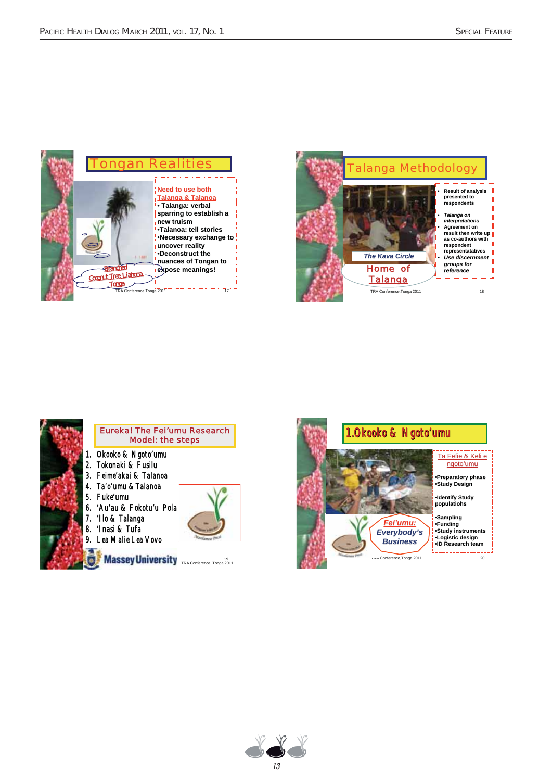







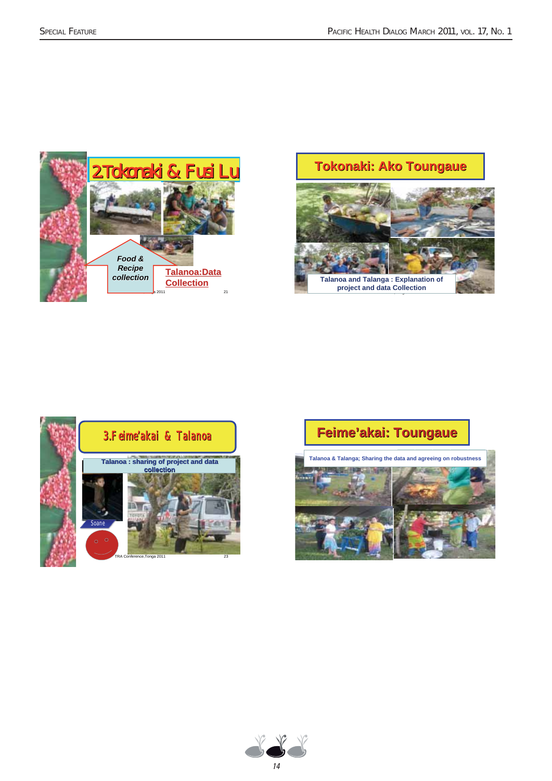







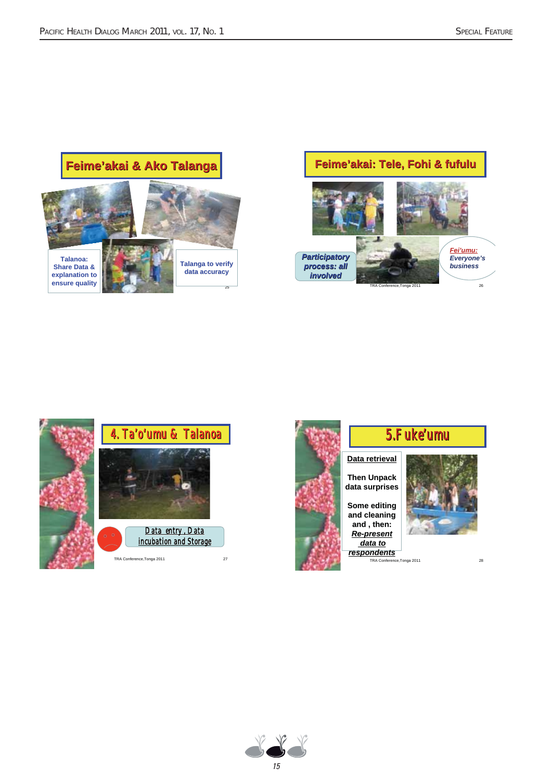### **Feime'akai & Ako Talanga akai & Ako Talanga**









5.Fuke'umu

**Data retrieval Data retrieval Then Unpack**

**Some editing and cleaning and , then:** *Re-present data to respondents*

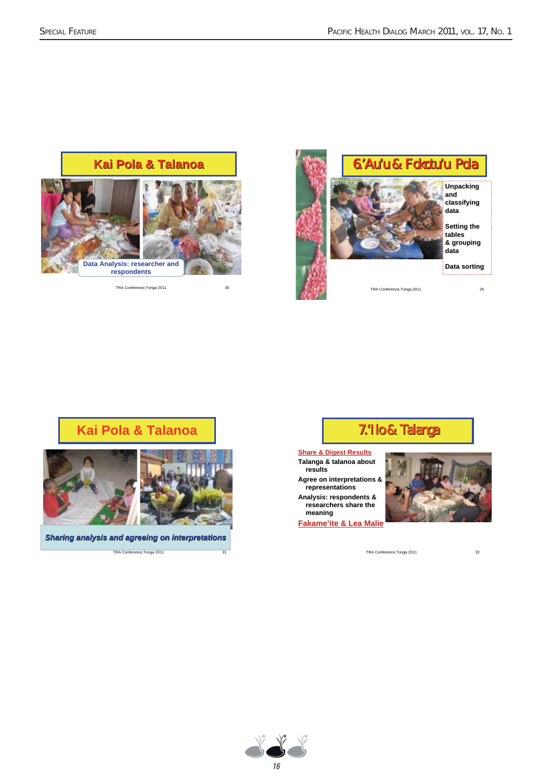### **Kai Pola & Talanoa Kai Pola & Talanoa**



TRA Conference,Tonga 2011 30



### **Kai Pola & Talanoa**



*Sharing analysis and agreeing on interpretations*

TRA Conference, Tonga 2011

### 7.'Ilo & Talanga

**Share & Digest Results Talanga & talanoa about results Agree on interpretations & representations Analysis: respondents & researchers share the meaning Fakame'ite & Lea Malie**



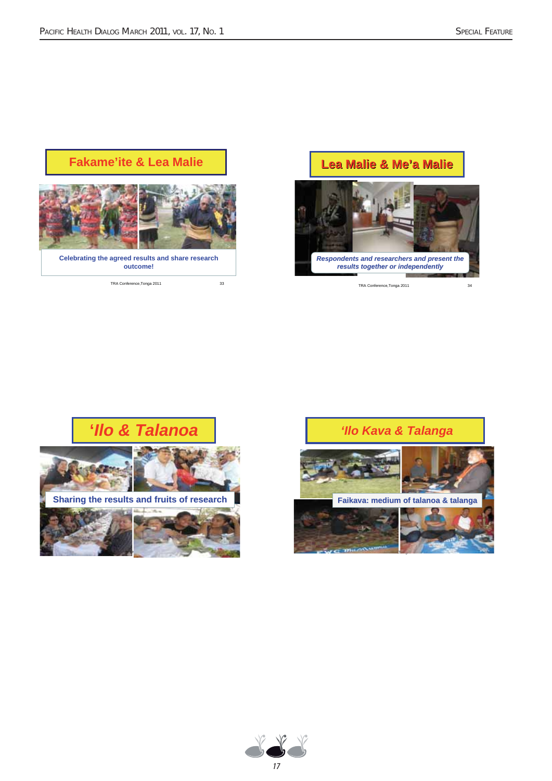### **Fakame'ite & Lea Malie**



**Celebrating the agreed results and share research outcome!**

TRA Conference, Tonga 2011 33

### **Lea Malie & Me Lea Malie & Me'a Malie a Malie**







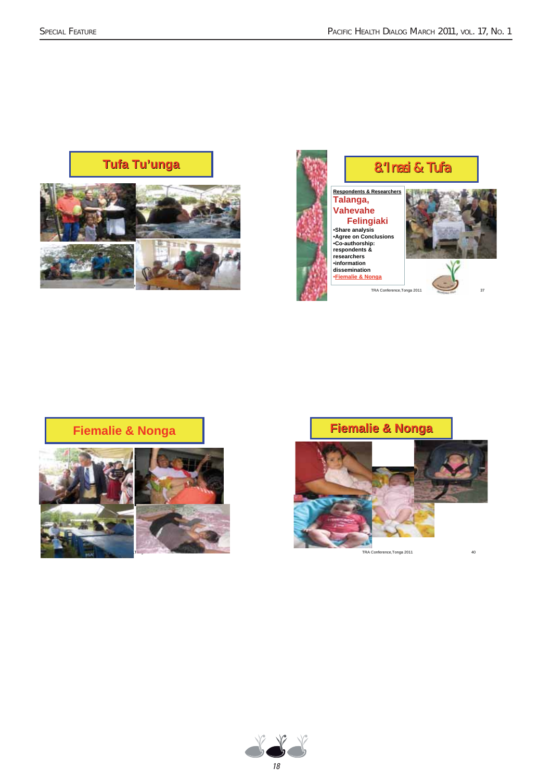



### **Fiemalie & Nonga**





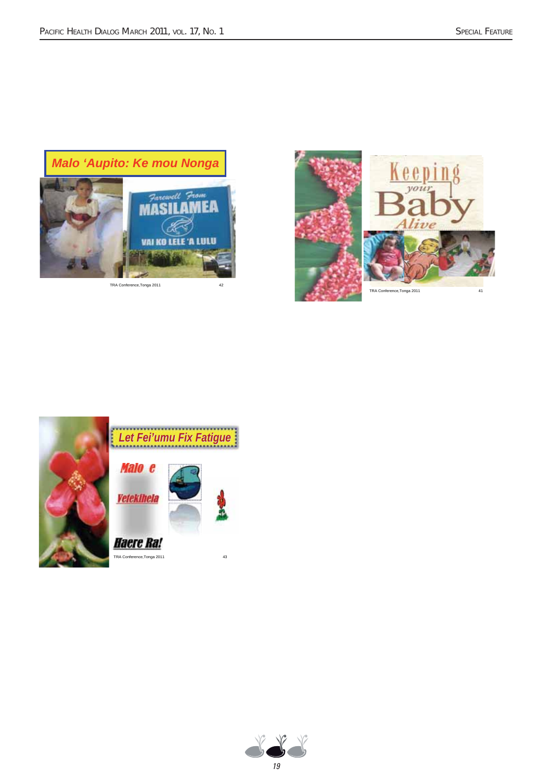

TRA Conference,Tonga 2011 42